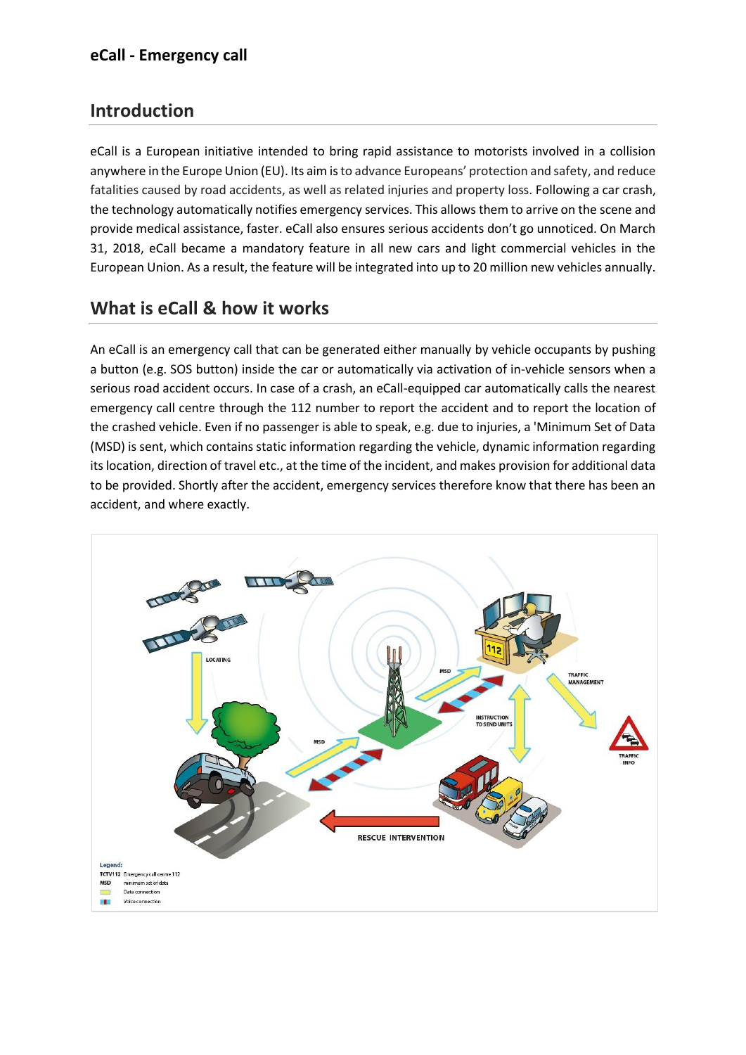### **Introduction**

eCall is a European initiative intended to bring rapid assistance to motorists involved in a collision anywhere in the Europe Union (EU). Its aim isto advance Europeans' protection and safety, and reduce fatalities caused by road accidents, as well as related injuries and property loss. Following a car crash, the technology automatically notifies emergency services. This allows them to arrive on the scene and provide medical assistance, faster. eCall also ensures serious accidents don't go unnoticed. On March 31, 2018, eCall became a mandatory feature in all new cars and light commercial vehicles in the European Union. As a result, the feature will be integrated into up to 20 million new vehicles annually.

### **What is eCall & how it works**

An eCall is an emergency call that can be generated either manually by vehicle occupants by pushing a button (e.g. SOS button) inside the car or automatically via activation of in-vehicle sensors when a serious road accident occurs. In case of a crash, an eCall-equipped car automatically calls the nearest emergency call centre through the 112 number to report the accident and to report the location of the crashed vehicle. Even if no passenger is able to speak, e.g. due to injuries, a 'Minimum Set of Data (MSD) is sent, which contains static information regarding the vehicle, dynamic information regarding its location, direction of travel etc., at the time of the incident, and makes provision for additional data to be provided. Shortly after the accident, emergency services therefore know that there has been an accident, and where exactly.

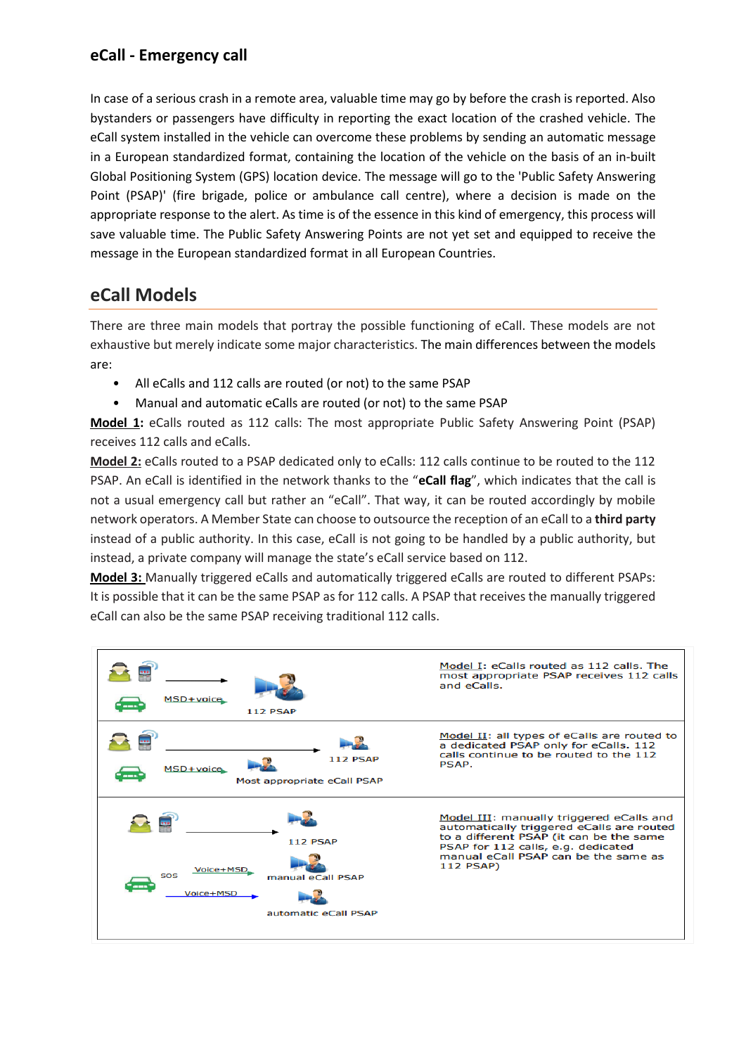In case of a serious crash in a remote area, valuable time may go by before the crash is reported. Also bystanders or passengers have difficulty in reporting the exact location of the crashed vehicle. The eCall system installed in the vehicle can overcome these problems by sending an automatic message in a European standardized format, containing the location of the vehicle on the basis of an in-built Global Positioning System (GPS) location device. The message will go to the 'Public Safety Answering Point (PSAP)' (fire brigade, police or ambulance call centre), where a decision is made on the appropriate response to the alert. As time is of the essence in this kind of emergency, this process will save valuable time. The Public Safety Answering Points are not yet set and equipped to receive the message in the European standardized format in all European Countries.

## **eCall Models**

There are three main models that portray the possible functioning of eCall. These models are not exhaustive but merely indicate some major characteristics. The main differences between the models are:

- All eCalls and 112 calls are routed (or not) to the same PSAP
- Manual and automatic eCalls are routed (or not) to the same PSAP

**Model 1:** eCalls routed as 112 calls: The most appropriate Public Safety Answering Point (PSAP) receives 112 calls and eCalls.

**Model 2:** eCalls routed to a PSAP dedicated only to eCalls: 112 calls continue to be routed to the 112 PSAP. An eCall is identified in the network thanks to the "**eCall flag**", which indicates that the call is not a usual emergency call but rather an "eCall". That way, it can be routed accordingly by mobile network operators. A Member State can choose to outsource the reception of an eCall to a **third party** instead of a public authority. In this case, eCall is not going to be handled by a public authority, but instead, a private company will manage the state's eCall service based on 112.

**Model 3:** Manually triggered eCalls and automatically triggered eCalls are routed to different PSAPs: It is possible that it can be the same PSAP as for 112 calls. A PSAP that receives the manually triggered eCall can also be the same PSAP receiving traditional 112 calls.

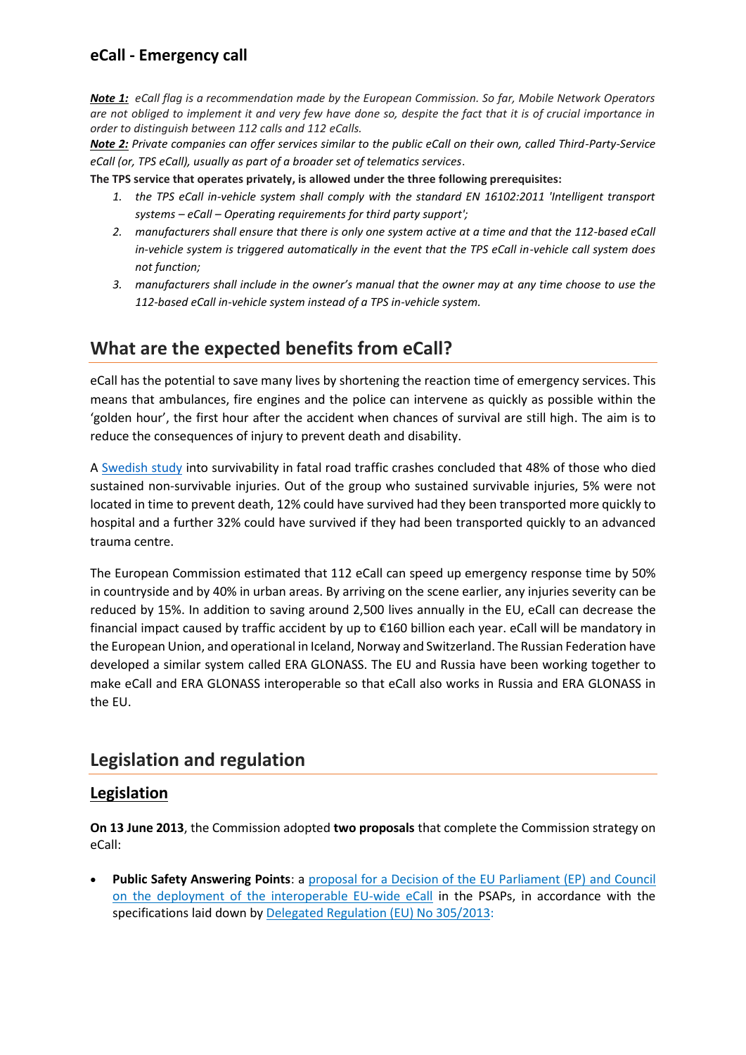*Note 1: eCall flag is a recommendation made by the European Commission. So far, Mobile Network Operators are not obliged to implement it and very few have done so, despite the fact that it is of crucial importance in order to distinguish between 112 calls and 112 eCalls.* 

*Note 2: Private companies can offer services similar to the public eCall on their own, called Third-Party-Service eCall (or, TPS eCall), usually as part of a broader set of telematics services*.

**The TPS service that operates privately, is allowed under the three following prerequisites:**

- *1. the TPS eCall in-vehicle system shall comply with the standard EN 16102:2011 'Intelligent transport systems – eCall – Operating requirements for third party support';*
- *2. manufacturers shall ensure that there is only one system active at a time and that the 112-based eCall in-vehicle system is triggered automatically in the event that the TPS eCall in-vehicle call system does not function;*
- *3. manufacturers shall include in the owner's manual that the owner may at any time choose to use the 112-based eCall in-vehicle system instead of a TPS in-vehicle system.*

## **What are the expected benefits from eCall?**

eCall has the potential to save many lives by shortening the reaction time of emergency services. This means that ambulances, fire engines and the police can intervene as quickly as possible within the 'golden hour', the first hour after the accident when chances of survival are still high. The aim is to reduce the consequences of injury to prevent death and disability.

A [Swedish](https://ec.europa.eu/transport/road_safety/specialist/knowledge/postimpact/the_problem_road_traffic_injury_consequences/survivable_and_non_survivable_road_traffic_injury_en) study into survivability in fatal road traffic crashes concluded that 48% of those who died sustained non-survivable injuries. Out of the group who sustained survivable injuries, 5% were not located in time to prevent death, 12% could have survived had they been transported more quickly to hospital and a further 32% could have survived if they had been transported quickly to an advanced trauma centre.

The European Commission estimated that 112 eCall can speed up emergency response time by 50% in countryside and by 40% in urban areas. By arriving on the scene earlier, any injuries severity can be reduced by 15%. In addition to saving around 2,500 lives annually in the EU, eCall can decrease the financial impact caused by traffic accident by up to €160 billion each year. eCall will be mandatory in the European Union, and operational in Iceland, Norway and Switzerland. The Russian Federation have developed a similar system called ERA GLONASS. The EU and Russia have been working together to make eCall and ERA GLONASS interoperable so that eCall also works in Russia and ERA GLONASS in the EU.

## **Legislation and regulation**

### **Legislation**

**On 13 June 2013**, the Commission adopted **two proposals** that complete the Commission strategy on eCall:

• **Public Safety Answering Points**: a [proposal for a Decision of the EU Parliament \(EP\) and Council](http://eur-lex.europa.eu/legal-content/EN/AUTO/?uri=CELEX:52013PC0315)  [on the deployment of the interoperable EU-wide eCall](http://eur-lex.europa.eu/legal-content/EN/AUTO/?uri=CELEX:52013PC0315) in the PSAPs, in accordance with the specifications laid down by [Delegated Regulation \(EU\) No 305/2013:](http://eur-lex.europa.eu/legal-content/EN/AUTO/?uri=CELEX:32013R0305)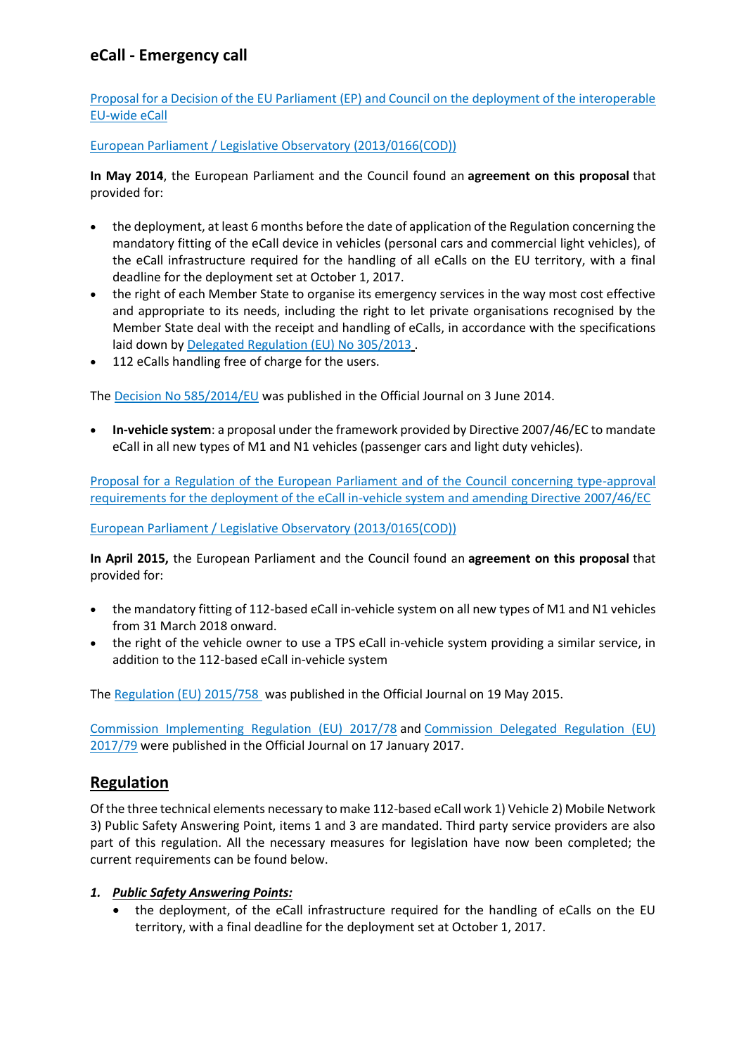[Proposal for a Decision of the EU Parliament \(EP\) and Council on the deployment of the interoperable](http://eur-lex.europa.eu/legal-content/EN/AUTO/?uri=CELEX:52013PC0315)  [EU-wide eCall](http://eur-lex.europa.eu/legal-content/EN/AUTO/?uri=CELEX:52013PC0315)

[European Parliament / Legislative Observatory \(2013/0166\(COD\)\)](http://www.europarl.europa.eu/oeil/popups/ficheprocedure.do?reference=2013/0166(COD)&l=en)

**In May 2014**, the European Parliament and the Council found an **agreement on this proposal** that provided for:

- the deployment, at least 6 months before the date of application of the Regulation concerning the mandatory fitting of the eCall device in vehicles (personal cars and commercial light vehicles), of the eCall infrastructure required for the handling of all eCalls on the EU territory, with a final deadline for the deployment set at October 1, 2017.
- the right of each Member State to organise its emergency services in the way most cost effective and appropriate to its needs, including the right to let private organisations recognised by the Member State deal with the receipt and handling of eCalls, in accordance with the specifications laid down by [Delegated Regulation \(EU\) No 305/2013](http://eur-lex.europa.eu/legal-content/EN/AUTO/?uri=CELEX:32013R0305) .
- 112 eCalls handling free of charge for the users.

The [Decision No 585/2014/EU](http://eur-lex.europa.eu/legal-content/EN/AUTO/?uri=CELEX:32014D0585) was published in the Official Journal on 3 June 2014.

• **In-vehicle system**: a proposal under the framework provided by Directive 2007/46/EC to mandate eCall in all new types of M1 and N1 vehicles (passenger cars and light duty vehicles).

[Proposal for a Regulation of the European Parliament and of the Council concerning type-approval](http://eur-lex.europa.eu/legal-content/EN/AUTO/?uri=CELEX:52013PC0316)  [requirements for the deployment of the eCall in-vehicle system and amending Directive 2007/46/EC](http://eur-lex.europa.eu/legal-content/EN/AUTO/?uri=CELEX:52013PC0316)

[European Parliament / Legislative Observatory \(2013/0165\(COD\)\)](http://www.europarl.europa.eu/oeil/popups/ficheprocedure.do?lang=en&reference=2013/0165(COD))

**In April 2015,** the European Parliament and the Council found an **agreement on this proposal** that provided for:

- the mandatory fitting of 112-based eCall in-vehicle system on all new types of M1 and N1 vehicles from 31 March 2018 onward.
- the right of the vehicle owner to use a TPS eCall in-vehicle system providing a similar service, in addition to the 112-based eCall in-vehicle system

The [Regulation \(EU\) 2015/758](http://eur-lex.europa.eu/legal-content/EN/AUTO/?uri=CELEX:32015R0758) was published in the Official Journal on 19 May 2015.

[Commission Implementing Regulation \(EU\) 2017/78](http://eur-lex.europa.eu/legal-content/EN/AUTO/?uri=CELEX:32017R0078) and [Commission Delegated Regulation \(EU\)](http://eur-lex.europa.eu/legal-content/EN/AUTO/?uri=CELEX:32017R0079)  [2017/79](http://eur-lex.europa.eu/legal-content/EN/AUTO/?uri=CELEX:32017R0079) were published in the Official Journal on 17 January 2017.

### **Regulation**

Of the three technical elements necessary to make 112-based eCall work 1) Vehicle 2) Mobile Network 3) Public Safety Answering Point, items 1 and 3 are mandated. Third party service providers are also part of this regulation. All the necessary measures for legislation have now been completed; the current requirements can be found below.

#### *1. Public Safety Answering Points:*

• the deployment, of the eCall infrastructure required for the handling of eCalls on the EU territory, with a final deadline for the deployment set at October 1, 2017.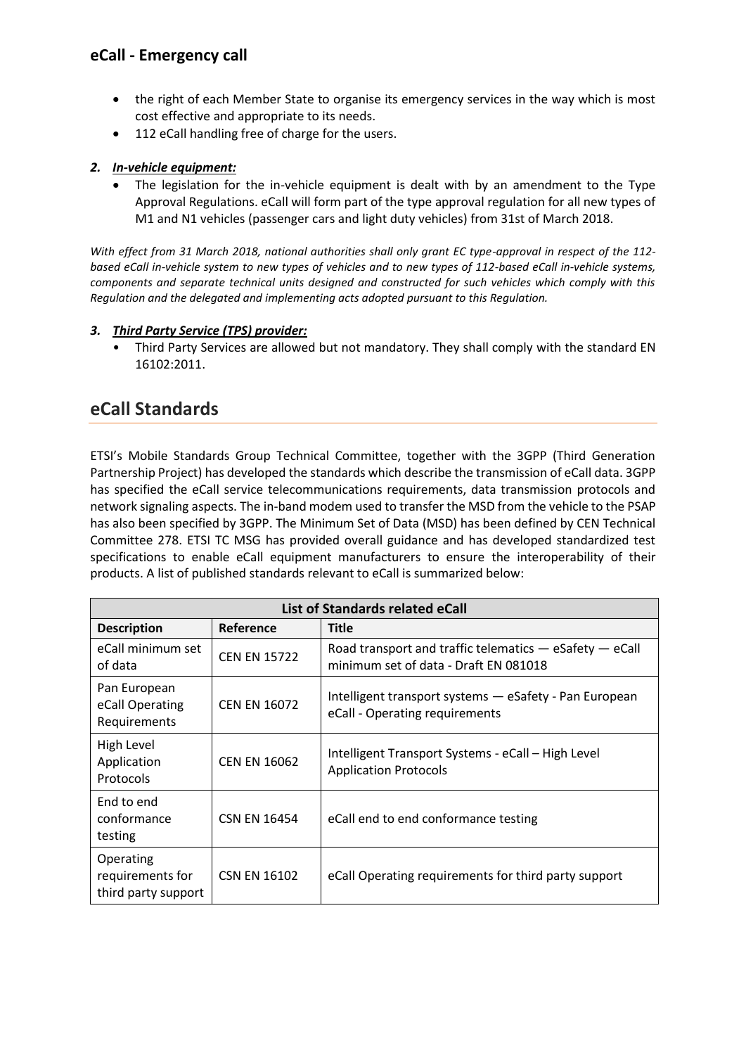- the right of each Member State to organise its emergency services in the way which is most cost effective and appropriate to its needs.
- 112 eCall handling free of charge for the users.

#### *2. In-vehicle equipment:*

• The legislation for the in-vehicle equipment is dealt with by an amendment to the Type Approval Regulations. eCall will form part of the type approval regulation for all new types of M1 and N1 vehicles (passenger cars and light duty vehicles) from 31st of March 2018.

*With effect from 31 March 2018, national authorities shall only grant EC type-approval in respect of the 112 based eCall in-vehicle system to new types of vehicles and to new types of 112-based eCall in-vehicle systems, components and separate technical units designed and constructed for such vehicles which comply with this Regulation and the delegated and implementing acts adopted pursuant to this Regulation.* 

#### *3. Third Party Service (TPS) provider:*

• Third Party Services are allowed but not mandatory. They shall comply with the standard EN 16102:2011.

### **eCall Standards**

ETSI's Mobile Standards Group Technical Committee, together with the 3GPP (Third Generation Partnership Project) has developed the standards which describe the transmission of eCall data. 3GPP has specified the eCall service telecommunications requirements, data transmission protocols and network signaling aspects. The in-band modem used to transfer the MSD from the vehicle to the PSAP has also been specified by 3GPP. The Minimum Set of Data (MSD) has been defined by CEN Technical Committee 278. ETSI TC MSG has provided overall guidance and has developed standardized test specifications to enable eCall equipment manufacturers to ensure the interoperability of their products. A list of published standards relevant to eCall is summarized below:

| List of Standards related eCall                      |                     |                                                                                                      |  |
|------------------------------------------------------|---------------------|------------------------------------------------------------------------------------------------------|--|
| <b>Description</b>                                   | Reference           | <b>Title</b>                                                                                         |  |
| eCall minimum set<br>of data                         | <b>CEN EN 15722</b> | Road transport and traffic telematics $-$ eSafety $-$ eCall<br>minimum set of data - Draft EN 081018 |  |
| Pan European<br>eCall Operating<br>Requirements      | <b>CEN EN 16072</b> | Intelligent transport systems - eSafety - Pan European<br>eCall - Operating requirements             |  |
| High Level<br>Application<br>Protocols               | <b>CEN EN 16062</b> | Intelligent Transport Systems - eCall - High Level<br><b>Application Protocols</b>                   |  |
| End to end<br>conformance<br>testing                 | <b>CSN EN 16454</b> | eCall end to end conformance testing                                                                 |  |
| Operating<br>requirements for<br>third party support | <b>CSN EN 16102</b> | eCall Operating requirements for third party support                                                 |  |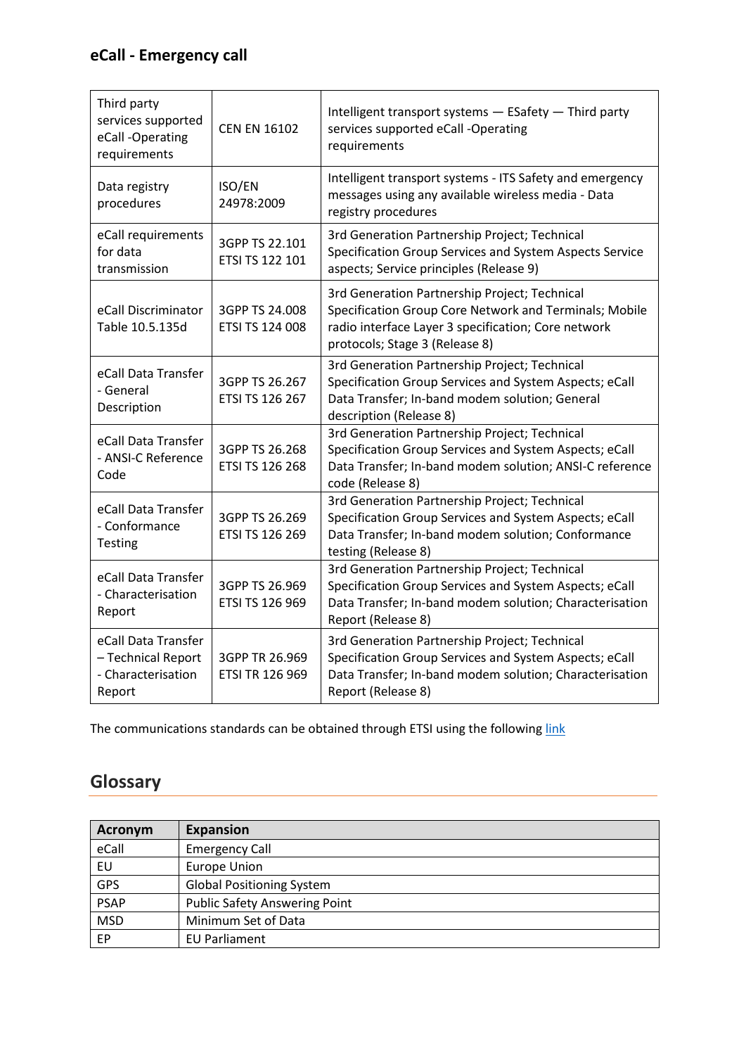| Third party<br>services supported<br>eCall-Operating<br>requirements      | <b>CEN EN 16102</b>                      | Intelligent transport systems - ESafety - Third party<br>services supported eCall -Operating<br>requirements                                                                                     |
|---------------------------------------------------------------------------|------------------------------------------|--------------------------------------------------------------------------------------------------------------------------------------------------------------------------------------------------|
| Data registry<br>procedures                                               | ISO/EN<br>24978:2009                     | Intelligent transport systems - ITS Safety and emergency<br>messages using any available wireless media - Data<br>registry procedures                                                            |
| eCall requirements<br>for data<br>transmission                            | 3GPP TS 22.101<br>ETSI TS 122 101        | 3rd Generation Partnership Project; Technical<br>Specification Group Services and System Aspects Service<br>aspects; Service principles (Release 9)                                              |
| eCall Discriminator<br>Table 10.5.135d                                    | 3GPP TS 24.008<br>ETSI TS 124 008        | 3rd Generation Partnership Project; Technical<br>Specification Group Core Network and Terminals; Mobile<br>radio interface Layer 3 specification; Core network<br>protocols; Stage 3 (Release 8) |
| eCall Data Transfer<br>- General<br>Description                           | 3GPP TS 26.267<br>ETSI TS 126 267        | 3rd Generation Partnership Project; Technical<br>Specification Group Services and System Aspects; eCall<br>Data Transfer; In-band modem solution; General<br>description (Release 8)             |
| eCall Data Transfer<br>- ANSI-C Reference<br>Code                         | 3GPP TS 26.268<br><b>ETSI TS 126 268</b> | 3rd Generation Partnership Project; Technical<br>Specification Group Services and System Aspects; eCall<br>Data Transfer; In-band modem solution; ANSI-C reference<br>code (Release 8)           |
| eCall Data Transfer<br>- Conformance<br><b>Testing</b>                    | 3GPP TS 26.269<br>ETSI TS 126 269        | 3rd Generation Partnership Project; Technical<br>Specification Group Services and System Aspects; eCall<br>Data Transfer; In-band modem solution; Conformance<br>testing (Release 8)             |
| eCall Data Transfer<br>- Characterisation<br>Report                       | 3GPP TS 26.969<br>ETSI TS 126 969        | 3rd Generation Partnership Project; Technical<br>Specification Group Services and System Aspects; eCall<br>Data Transfer; In-band modem solution; Characterisation<br>Report (Release 8)         |
| eCall Data Transfer<br>- Technical Report<br>- Characterisation<br>Report | 3GPP TR 26.969<br><b>ETSI TR 126 969</b> | 3rd Generation Partnership Project; Technical<br>Specification Group Services and System Aspects; eCall<br>Data Transfer; In-band modem solution; Characterisation<br>Report (Release 8)         |

The communications standards can be obtained through ETSI using the following [link](http://www.etsi.org/standards-search?page=1&search=eCall&matchall=true&matchany=false&matchexact=true&title=true&keywords=true&ed=true&versions=false)

# **Glossary**

| Acronym     | <b>Expansion</b>                     |
|-------------|--------------------------------------|
| eCall       | <b>Emergency Call</b>                |
| EU          | <b>Europe Union</b>                  |
| <b>GPS</b>  | <b>Global Positioning System</b>     |
| <b>PSAP</b> | <b>Public Safety Answering Point</b> |
| <b>MSD</b>  | Minimum Set of Data                  |
| EP          | <b>EU Parliament</b>                 |